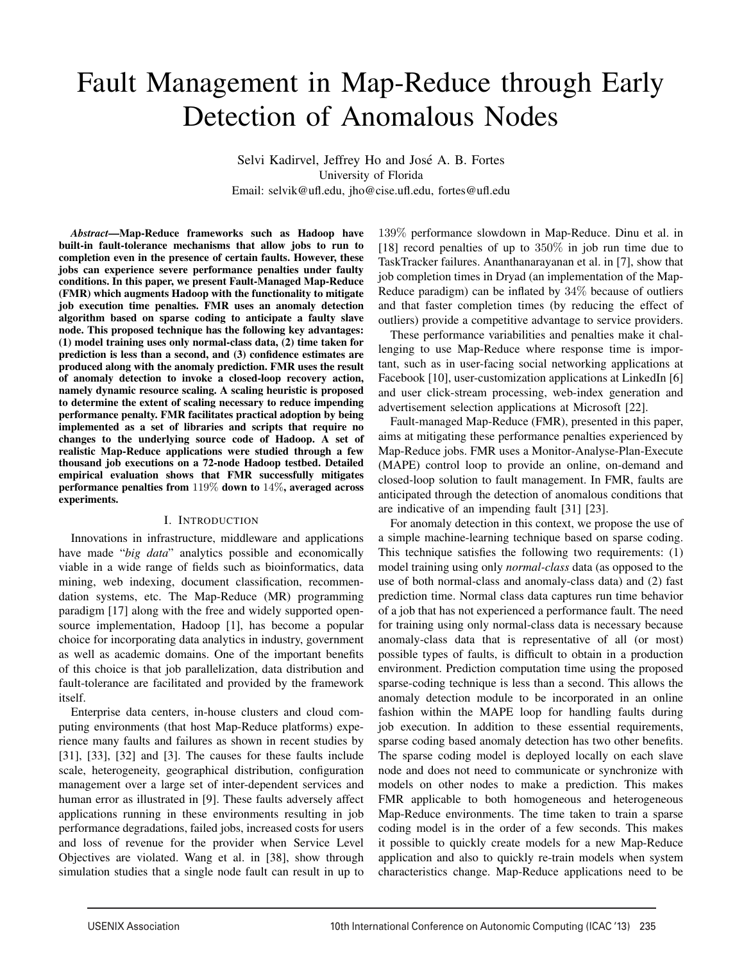# Fault Management in Map-Reduce through Early Detection of Anomalous Nodes

Selvi Kadirvel, Jeffrey Ho and José A. B. Fortes University of Florida Email: selvik@ufl.edu, jho@cise.ufl.edu, fortes@ufl.edu

*Abstract*—Map-Reduce frameworks such as Hadoop have built-in fault-tolerance mechanisms that allow jobs to run to completion even in the presence of certain faults. However, these jobs can experience severe performance penalties under faulty conditions. In this paper, we present Fault-Managed Map-Reduce (FMR) which augments Hadoop with the functionality to mitigate job execution time penalties. FMR uses an anomaly detection algorithm based on sparse coding to anticipate a faulty slave node. This proposed technique has the following key advantages: (1) model training uses only normal-class data, (2) time taken for prediction is less than a second, and (3) confidence estimates are produced along with the anomaly prediction. FMR uses the result of anomaly detection to invoke a closed-loop recovery action, namely dynamic resource scaling. A scaling heuristic is proposed to determine the extent of scaling necessary to reduce impending performance penalty. FMR facilitates practical adoption by being implemented as a set of libraries and scripts that require no changes to the underlying source code of Hadoop. A set of realistic Map-Reduce applications were studied through a few thousand job executions on a 72-node Hadoop testbed. Detailed empirical evaluation shows that FMR successfully mitigates performance penalties from 119% down to 14%, averaged across experiments.

# I. INTRODUCTION

Innovations in infrastructure, middleware and applications have made "*big data*" analytics possible and economically viable in a wide range of fields such as bioinformatics, data mining, web indexing, document classification, recommendation systems, etc. The Map-Reduce (MR) programming paradigm [17] along with the free and widely supported opensource implementation, Hadoop [1], has become a popular choice for incorporating data analytics in industry, government as well as academic domains. One of the important benefits of this choice is that job parallelization, data distribution and fault-tolerance are facilitated and provided by the framework itself.

Enterprise data centers, in-house clusters and cloud computing environments (that host Map-Reduce platforms) experience many faults and failures as shown in recent studies by [31], [33], [32] and [3]. The causes for these faults include scale, heterogeneity, geographical distribution, configuration management over a large set of inter-dependent services and human error as illustrated in [9]. These faults adversely affect applications running in these environments resulting in job performance degradations, failed jobs, increased costs for users and loss of revenue for the provider when Service Level Objectives are violated. Wang et al. in [38], show through simulation studies that a single node fault can result in up to

139% performance slowdown in Map-Reduce. Dinu et al. in [18] record penalties of up to 350% in job run time due to TaskTracker failures. Ananthanarayanan et al. in [7], show that job completion times in Dryad (an implementation of the Map-Reduce paradigm) can be inflated by 34% because of outliers and that faster completion times (by reducing the effect of outliers) provide a competitive advantage to service providers.

These performance variabilities and penalties make it challenging to use Map-Reduce where response time is important, such as in user-facing social networking applications at Facebook [10], user-customization applications at LinkedIn [6] and user click-stream processing, web-index generation and advertisement selection applications at Microsoft [22].

Fault-managed Map-Reduce (FMR), presented in this paper, aims at mitigating these performance penalties experienced by Map-Reduce jobs. FMR uses a Monitor-Analyse-Plan-Execute (MAPE) control loop to provide an online, on-demand and closed-loop solution to fault management. In FMR, faults are anticipated through the detection of anomalous conditions that are indicative of an impending fault [31] [23].

For anomaly detection in this context, we propose the use of a simple machine-learning technique based on sparse coding. This technique satisfies the following two requirements: (1) model training using only *normal-class* data (as opposed to the use of both normal-class and anomaly-class data) and (2) fast prediction time. Normal class data captures run time behavior of a job that has not experienced a performance fault. The need for training using only normal-class data is necessary because anomaly-class data that is representative of all (or most) possible types of faults, is difficult to obtain in a production environment. Prediction computation time using the proposed sparse-coding technique is less than a second. This allows the anomaly detection module to be incorporated in an online fashion within the MAPE loop for handling faults during job execution. In addition to these essential requirements, sparse coding based anomaly detection has two other benefits. The sparse coding model is deployed locally on each slave node and does not need to communicate or synchronize with models on other nodes to make a prediction. This makes FMR applicable to both homogeneous and heterogeneous Map-Reduce environments. The time taken to train a sparse coding model is in the order of a few seconds. This makes it possible to quickly create models for a new Map-Reduce application and also to quickly re-train models when system characteristics change. Map-Reduce applications need to be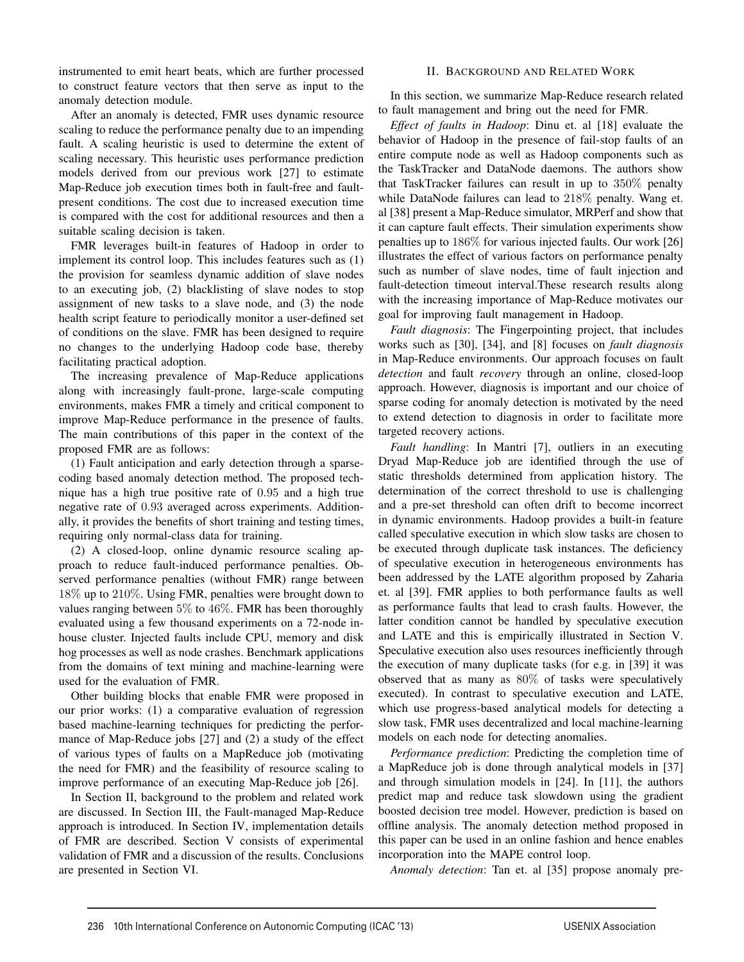instrumented to emit heart beats, which are further processed to construct feature vectors that then serve as input to the anomaly detection module.

After an anomaly is detected, FMR uses dynamic resource scaling to reduce the performance penalty due to an impending fault. A scaling heuristic is used to determine the extent of scaling necessary. This heuristic uses performance prediction models derived from our previous work [27] to estimate Map-Reduce job execution times both in fault-free and faultpresent conditions. The cost due to increased execution time is compared with the cost for additional resources and then a suitable scaling decision is taken.

FMR leverages built-in features of Hadoop in order to implement its control loop. This includes features such as (1) the provision for seamless dynamic addition of slave nodes to an executing job, (2) blacklisting of slave nodes to stop assignment of new tasks to a slave node, and (3) the node health script feature to periodically monitor a user-defined set of conditions on the slave. FMR has been designed to require no changes to the underlying Hadoop code base, thereby facilitating practical adoption.

The increasing prevalence of Map-Reduce applications along with increasingly fault-prone, large-scale computing environments, makes FMR a timely and critical component to improve Map-Reduce performance in the presence of faults. The main contributions of this paper in the context of the proposed FMR are as follows:

(1) Fault anticipation and early detection through a sparsecoding based anomaly detection method. The proposed technique has a high true positive rate of 0*.*95 and a high true negative rate of 0*.*93 averaged across experiments. Additionally, it provides the benefits of short training and testing times, requiring only normal-class data for training.

(2) A closed-loop, online dynamic resource scaling approach to reduce fault-induced performance penalties. Observed performance penalties (without FMR) range between 18% up to 210%. Using FMR, penalties were brought down to values ranging between  $5\%$  to  $46\%$ . FMR has been thoroughly evaluated using a few thousand experiments on a 72-node inhouse cluster. Injected faults include CPU, memory and disk hog processes as well as node crashes. Benchmark applications from the domains of text mining and machine-learning were used for the evaluation of FMR.

Other building blocks that enable FMR were proposed in our prior works: (1) a comparative evaluation of regression based machine-learning techniques for predicting the performance of Map-Reduce jobs [27] and (2) a study of the effect of various types of faults on a MapReduce job (motivating the need for FMR) and the feasibility of resource scaling to improve performance of an executing Map-Reduce job [26].

In Section II, background to the problem and related work are discussed. In Section III, the Fault-managed Map-Reduce approach is introduced. In Section IV, implementation details of FMR are described. Section V consists of experimental validation of FMR and a discussion of the results. Conclusions are presented in Section VI.

# II. BACKGROUND AND RELATED WORK

In this section, we summarize Map-Reduce research related to fault management and bring out the need for FMR.

*Effect of faults in Hadoop*: Dinu et. al [18] evaluate the behavior of Hadoop in the presence of fail-stop faults of an entire compute node as well as Hadoop components such as the TaskTracker and DataNode daemons. The authors show that TaskTracker failures can result in up to 350% penalty while DataNode failures can lead to 218% penalty. Wang et. al [38] present a Map-Reduce simulator, MRPerf and show that it can capture fault effects. Their simulation experiments show penalties up to 186% for various injected faults. Our work [26] illustrates the effect of various factors on performance penalty such as number of slave nodes, time of fault injection and fault-detection timeout interval.These research results along with the increasing importance of Map-Reduce motivates our goal for improving fault management in Hadoop.

*Fault diagnosis*: The Fingerpointing project, that includes works such as [30], [34], and [8] focuses on *fault diagnosis* in Map-Reduce environments. Our approach focuses on fault *detection* and fault *recovery* through an online, closed-loop approach. However, diagnosis is important and our choice of sparse coding for anomaly detection is motivated by the need to extend detection to diagnosis in order to facilitate more targeted recovery actions.

*Fault handling*: In Mantri [7], outliers in an executing Dryad Map-Reduce job are identified through the use of static thresholds determined from application history. The determination of the correct threshold to use is challenging and a pre-set threshold can often drift to become incorrect in dynamic environments. Hadoop provides a built-in feature called speculative execution in which slow tasks are chosen to be executed through duplicate task instances. The deficiency of speculative execution in heterogeneous environments has been addressed by the LATE algorithm proposed by Zaharia et. al [39]. FMR applies to both performance faults as well as performance faults that lead to crash faults. However, the latter condition cannot be handled by speculative execution and LATE and this is empirically illustrated in Section V. Speculative execution also uses resources inefficiently through the execution of many duplicate tasks (for e.g. in [39] it was observed that as many as 80% of tasks were speculatively executed). In contrast to speculative execution and LATE, which use progress-based analytical models for detecting a slow task, FMR uses decentralized and local machine-learning models on each node for detecting anomalies.

*Performance prediction*: Predicting the completion time of a MapReduce job is done through analytical models in [37] and through simulation models in [24]. In [11], the authors predict map and reduce task slowdown using the gradient boosted decision tree model. However, prediction is based on offline analysis. The anomaly detection method proposed in this paper can be used in an online fashion and hence enables incorporation into the MAPE control loop.

*Anomaly detection*: Tan et. al [35] propose anomaly pre-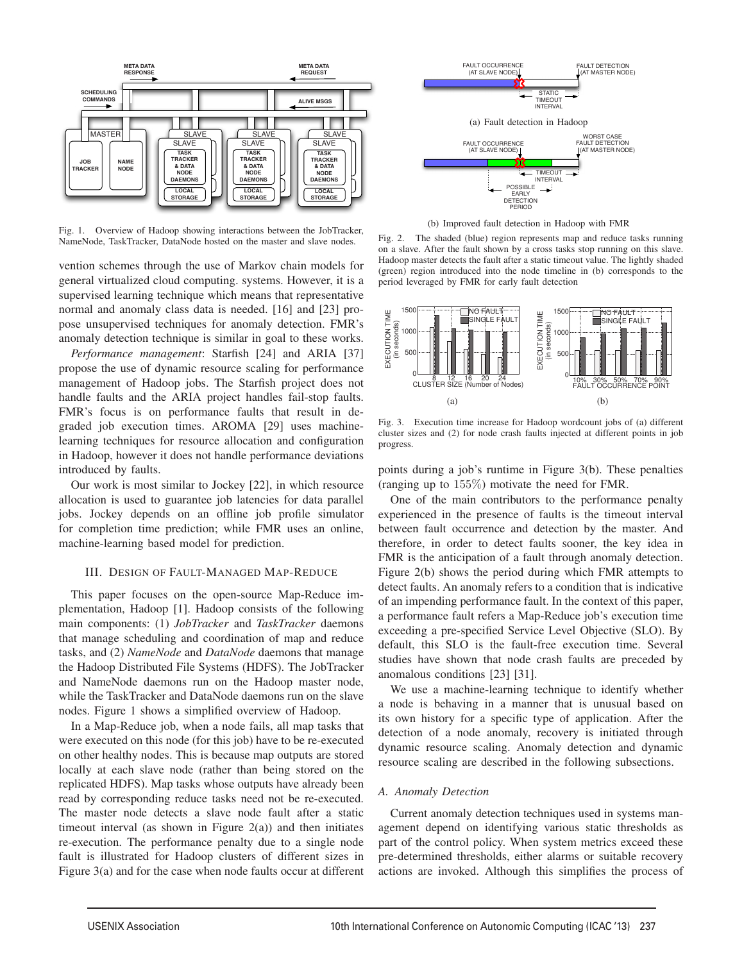

Fig. 1. Overview of Hadoop showing interactions between the JobTracker, NameNode, TaskTracker, DataNode hosted on the master and slave nodes.

vention schemes through the use of Markov chain models for general virtualized cloud computing. systems. However, it is a supervised learning technique which means that representative normal and anomaly class data is needed. [16] and [23] propose unsupervised techniques for anomaly detection. FMR's anomaly detection technique is similar in goal to these works.

*Performance management*: Starfish [24] and ARIA [37] propose the use of dynamic resource scaling for performance management of Hadoop jobs. The Starfish project does not handle faults and the ARIA project handles fail-stop faults. FMR's focus is on performance faults that result in degraded job execution times. AROMA [29] uses machinelearning techniques for resource allocation and configuration in Hadoop, however it does not handle performance deviations introduced by faults.

Our work is most similar to Jockey [22], in which resource allocation is used to guarantee job latencies for data parallel jobs. Jockey depends on an offline job profile simulator for completion time prediction; while FMR uses an online, machine-learning based model for prediction.

## III. DESIGN OF FAULT-MANAGED MAP-REDUCE

This paper focuses on the open-source Map-Reduce implementation, Hadoop [1]. Hadoop consists of the following main components: (1) *JobTracker* and *TaskTracker* daemons that manage scheduling and coordination of map and reduce tasks, and (2) *NameNode* and *DataNode* daemons that manage the Hadoop Distributed File Systems (HDFS). The JobTracker and NameNode daemons run on the Hadoop master node, while the TaskTracker and DataNode daemons run on the slave nodes. Figure 1 shows a simplified overview of Hadoop.

In a Map-Reduce job, when a node fails, all map tasks that were executed on this node (for this job) have to be re-executed on other healthy nodes. This is because map outputs are stored locally at each slave node (rather than being stored on the replicated HDFS). Map tasks whose outputs have already been read by corresponding reduce tasks need not be re-executed. The master node detects a slave node fault after a static timeout interval (as shown in Figure  $2(a)$ ) and then initiates re-execution. The performance penalty due to a single node fault is illustrated for Hadoop clusters of different sizes in Figure 3(a) and for the case when node faults occur at different



(b) Improved fault detection in Hadoop with FMR

Fig. 2. The shaded (blue) region represents map and reduce tasks running on a slave. After the fault shown by a cross tasks stop running on this slave. Hadoop master detects the fault after a static timeout value. The lightly shaded (green) region introduced into the node timeline in (b) corresponds to the period leveraged by FMR for early fault detection



Fig. 3. Execution time increase for Hadoop wordcount jobs of (a) different cluster sizes and (2) for node crash faults injected at different points in job progress.

points during a job's runtime in Figure 3(b). These penalties (ranging up to 155%) motivate the need for FMR.

One of the main contributors to the performance penalty experienced in the presence of faults is the timeout interval between fault occurrence and detection by the master. And therefore, in order to detect faults sooner, the key idea in FMR is the anticipation of a fault through anomaly detection. Figure 2(b) shows the period during which FMR attempts to detect faults. An anomaly refers to a condition that is indicative of an impending performance fault. In the context of this paper, a performance fault refers a Map-Reduce job's execution time exceeding a pre-specified Service Level Objective (SLO). By default, this SLO is the fault-free execution time. Several studies have shown that node crash faults are preceded by anomalous conditions [23] [31].

We use a machine-learning technique to identify whether a node is behaving in a manner that is unusual based on its own history for a specific type of application. After the detection of a node anomaly, recovery is initiated through dynamic resource scaling. Anomaly detection and dynamic resource scaling are described in the following subsections.

# *A. Anomaly Detection*

Current anomaly detection techniques used in systems management depend on identifying various static thresholds as part of the control policy. When system metrics exceed these pre-determined thresholds, either alarms or suitable recovery actions are invoked. Although this simplifies the process of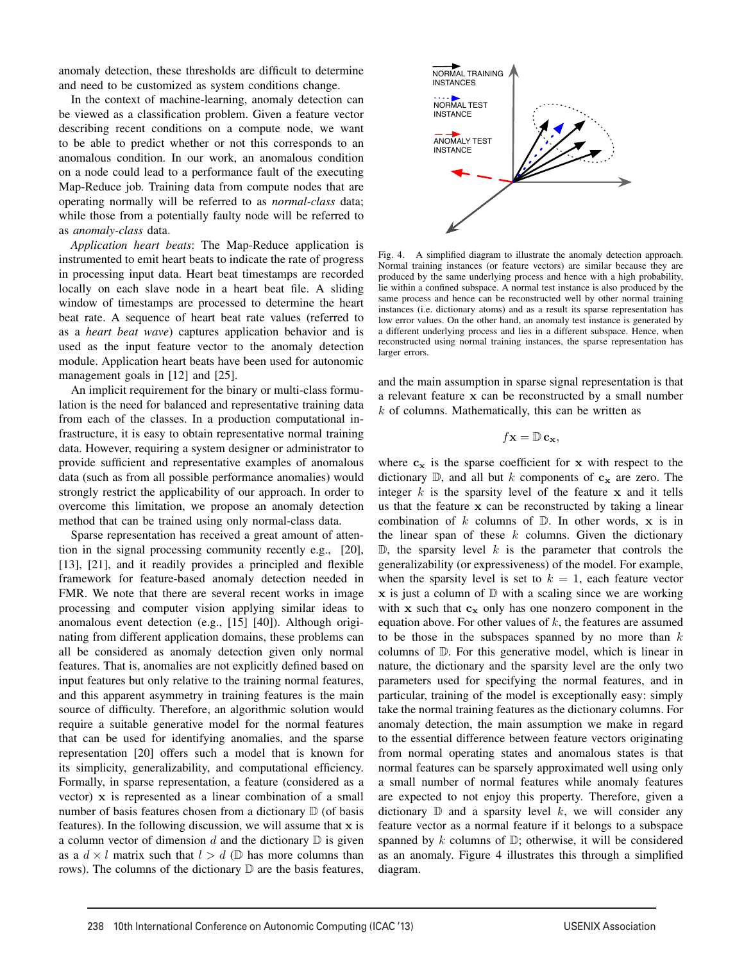anomaly detection, these thresholds are difficult to determine and need to be customized as system conditions change.

In the context of machine-learning, anomaly detection can be viewed as a classification problem. Given a feature vector describing recent conditions on a compute node, we want to be able to predict whether or not this corresponds to an anomalous condition. In our work, an anomalous condition on a node could lead to a performance fault of the executing Map-Reduce job. Training data from compute nodes that are operating normally will be referred to as *normal-class* data; while those from a potentially faulty node will be referred to as *anomaly-class* data.

*Application heart beats*: The Map-Reduce application is instrumented to emit heart beats to indicate the rate of progress in processing input data. Heart beat timestamps are recorded locally on each slave node in a heart beat file. A sliding window of timestamps are processed to determine the heart beat rate. A sequence of heart beat rate values (referred to as a *heart beat wave*) captures application behavior and is used as the input feature vector to the anomaly detection module. Application heart beats have been used for autonomic management goals in [12] and [25].

An implicit requirement for the binary or multi-class formulation is the need for balanced and representative training data from each of the classes. In a production computational infrastructure, it is easy to obtain representative normal training data. However, requiring a system designer or administrator to provide sufficient and representative examples of anomalous data (such as from all possible performance anomalies) would strongly restrict the applicability of our approach. In order to overcome this limitation, we propose an anomaly detection method that can be trained using only normal-class data.

Sparse representation has received a great amount of attention in the signal processing community recently e.g., [20], [13], [21], and it readily provides a principled and flexible framework for feature-based anomaly detection needed in FMR. We note that there are several recent works in image processing and computer vision applying similar ideas to anomalous event detection (e.g., [15] [40]). Although originating from different application domains, these problems can all be considered as anomaly detection given only normal features. That is, anomalies are not explicitly defined based on input features but only relative to the training normal features, and this apparent asymmetry in training features is the main source of difficulty. Therefore, an algorithmic solution would require a suitable generative model for the normal features that can be used for identifying anomalies, and the sparse representation [20] offers such a model that is known for its simplicity, generalizability, and computational efficiency. Formally, in sparse representation, a feature (considered as a vector) x is represented as a linear combination of a small number of basis features chosen from a dictionary  $\mathbb D$  (of basis features). In the following discussion, we will assume that  $x$  is a column vector of dimension  $d$  and the dictionary  $D$  is given as a  $d \times l$  matrix such that  $l > d$  (D has more columns than rows). The columns of the dictionary  $\mathbb D$  are the basis features,



Fig. 4. A simplified diagram to illustrate the anomaly detection approach. Normal training instances (or feature vectors) are similar because they are produced by the same underlying process and hence with a high probability, lie within a confined subspace. A normal test instance is also produced by the same process and hence can be reconstructed well by other normal training instances (i.e. dictionary atoms) and as a result its sparse representation has low error values. On the other hand, an anomaly test instance is generated by a different underlying process and lies in a different subspace. Hence, when reconstructed using normal training instances, the sparse representation has larger errors.

and the main assumption in sparse signal representation is that a relevant feature x can be reconstructed by a small number *k* of columns. Mathematically, this can be written as

$$
f\mathbf{x}=\mathbb{D}\,\mathbf{c}_{\mathbf{x}},
$$

where  $c_x$  is the sparse coefficient for x with respect to the dictionary  $\mathbb{D}$ , and all but *k* components of  $c_x$  are zero. The integer *k* is the sparsity level of the feature x and it tells us that the feature x can be reconstructed by taking a linear combination of  $k$  columns of  $D$ . In other words,  $x$  is in the linear span of these *k* columns. Given the dictionary  $\mathbb{D}$ , the sparsity level *k* is the parameter that controls the generalizability (or expressiveness) of the model. For example, when the sparsity level is set to  $k = 1$ , each feature vector  $x$  is just a column of  $D$  with a scaling since we are working with  $x$  such that  $c_x$  only has one nonzero component in the equation above. For other values of *k*, the features are assumed to be those in the subspaces spanned by no more than *k* columns of D. For this generative model, which is linear in nature, the dictionary and the sparsity level are the only two parameters used for specifying the normal features, and in particular, training of the model is exceptionally easy: simply take the normal training features as the dictionary columns. For anomaly detection, the main assumption we make in regard to the essential difference between feature vectors originating from normal operating states and anomalous states is that normal features can be sparsely approximated well using only a small number of normal features while anomaly features are expected to not enjoy this property. Therefore, given a dictionary  $\mathbb D$  and a sparsity level *k*, we will consider any feature vector as a normal feature if it belongs to a subspace spanned by *k* columns of D; otherwise, it will be considered as an anomaly. Figure 4 illustrates this through a simplified diagram.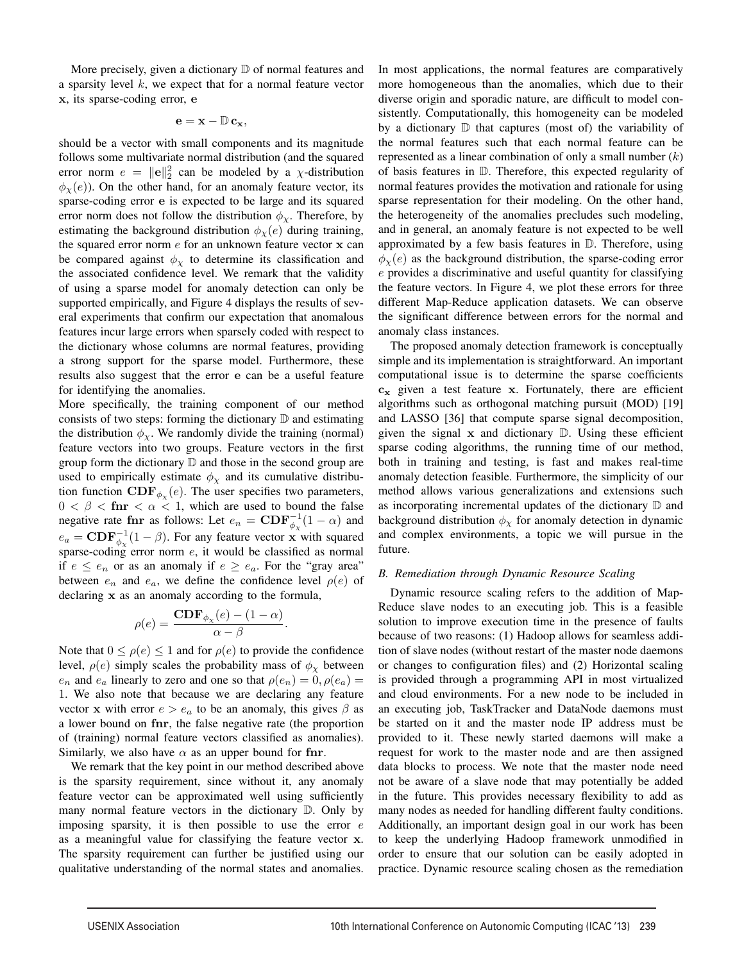More precisely, given a dictionary  $D$  of normal features and a sparsity level *k*, we expect that for a normal feature vector x, its sparse-coding error, e

# $e = x - \mathbb{D} c_x,$

should be a vector with small components and its magnitude follows some multivariate normal distribution (and the squared error norm  $e = ||e||_2^2$  can be modeled by a *χ*-distribution  $\phi_{\chi}(e)$ ). On the other hand, for an anomaly feature vector, its sparse-coding error e is expected to be large and its squared error norm does not follow the distribution  $\phi_{\gamma}$ . Therefore, by estimating the background distribution  $\phi_{\chi}(e)$  during training, the squared error norm *e* for an unknown feature vector x can be compared against  $\phi_{\chi}$  to determine its classification and the associated confidence level. We remark that the validity of using a sparse model for anomaly detection can only be supported empirically, and Figure 4 displays the results of several experiments that confirm our expectation that anomalous features incur large errors when sparsely coded with respect to the dictionary whose columns are normal features, providing a strong support for the sparse model. Furthermore, these results also suggest that the error e can be a useful feature for identifying the anomalies.

More specifically, the training component of our method consists of two steps: forming the dictionary  $D$  and estimating the distribution  $\phi_{\chi}$ . We randomly divide the training (normal) feature vectors into two groups. Feature vectors in the first group form the dictionary D and those in the second group are used to empirically estimate  $\phi_{\chi}$  and its cumulative distribution function  $\mathbf{CDF}_{\phi_{\chi}}(e)$ . The user specifies two parameters,  $0 < \beta <$  finr  $< \alpha < 1$ , which are used to bound the false negative rate for as follows: Let  $e_n = \text{CDF}_{\phi_\chi}^{-1}(1-\alpha)$  and  $e_a = \text{CDF}_{\phi_\chi}^{-1}(1-\beta)$ . For any feature vector x with squared sparse-coding error norm *e*, it would be classified as normal if  $e \leq e_n$  or as an anomaly if  $e \geq e_a$ . For the "gray area" between  $e_n$  and  $e_a$ , we define the confidence level  $\rho(e)$  of declaring x as an anomaly according to the formula,

$$
\rho(e) = \frac{\mathbf{CDF}_{\phi_{\chi}}(e) - (1 - \alpha)}{\alpha - \beta}.
$$

Note that  $0 \le \rho(e) \le 1$  and for  $\rho(e)$  to provide the confidence level,  $\rho(e)$  simply scales the probability mass of  $\phi_{\chi}$  between *e<sub>n</sub>* and *e<sub>a</sub>* linearly to zero and one so that  $\rho(e_n) = 0, \rho(e_a) = 0$ 1. We also note that because we are declaring any feature vector x with error  $e > e_a$  to be an anomaly, this gives  $\beta$  as a lower bound on fnr, the false negative rate (the proportion of (training) normal feature vectors classified as anomalies). Similarly, we also have  $\alpha$  as an upper bound for finr.

We remark that the key point in our method described above is the sparsity requirement, since without it, any anomaly feature vector can be approximated well using sufficiently many normal feature vectors in the dictionary D. Only by imposing sparsity, it is then possible to use the error *e* as a meaningful value for classifying the feature vector x. The sparsity requirement can further be justified using our qualitative understanding of the normal states and anomalies.

In most applications, the normal features are comparatively more homogeneous than the anomalies, which due to their diverse origin and sporadic nature, are difficult to model consistently. Computationally, this homogeneity can be modeled by a dictionary  $\mathbb D$  that captures (most of) the variability of the normal features such that each normal feature can be represented as a linear combination of only a small number (*k*) of basis features in D. Therefore, this expected regularity of normal features provides the motivation and rationale for using sparse representation for their modeling. On the other hand, the heterogeneity of the anomalies precludes such modeling, and in general, an anomaly feature is not expected to be well approximated by a few basis features in D. Therefore, using  $\phi_{\chi}(e)$  as the background distribution, the sparse-coding error *e* provides a discriminative and useful quantity for classifying the feature vectors. In Figure 4, we plot these errors for three different Map-Reduce application datasets. We can observe the significant difference between errors for the normal and anomaly class instances.

The proposed anomaly detection framework is conceptually simple and its implementation is straightforward. An important computational issue is to determine the sparse coefficients  $c_x$  given a test feature x. Fortunately, there are efficient algorithms such as orthogonal matching pursuit (MOD) [19] and LASSO [36] that compute sparse signal decomposition, given the signal  $x$  and dictionary  $D$ . Using these efficient sparse coding algorithms, the running time of our method, both in training and testing, is fast and makes real-time anomaly detection feasible. Furthermore, the simplicity of our method allows various generalizations and extensions such as incorporating incremental updates of the dictionary  $D$  and background distribution  $\phi_{\chi}$  for anomaly detection in dynamic and complex environments, a topic we will pursue in the future.

# *B. Remediation through Dynamic Resource Scaling*

Dynamic resource scaling refers to the addition of Map-Reduce slave nodes to an executing job. This is a feasible solution to improve execution time in the presence of faults because of two reasons: (1) Hadoop allows for seamless addition of slave nodes (without restart of the master node daemons or changes to configuration files) and (2) Horizontal scaling is provided through a programming API in most virtualized and cloud environments. For a new node to be included in an executing job, TaskTracker and DataNode daemons must be started on it and the master node IP address must be provided to it. These newly started daemons will make a request for work to the master node and are then assigned data blocks to process. We note that the master node need not be aware of a slave node that may potentially be added in the future. This provides necessary flexibility to add as many nodes as needed for handling different faulty conditions. Additionally, an important design goal in our work has been to keep the underlying Hadoop framework unmodified in order to ensure that our solution can be easily adopted in practice. Dynamic resource scaling chosen as the remediation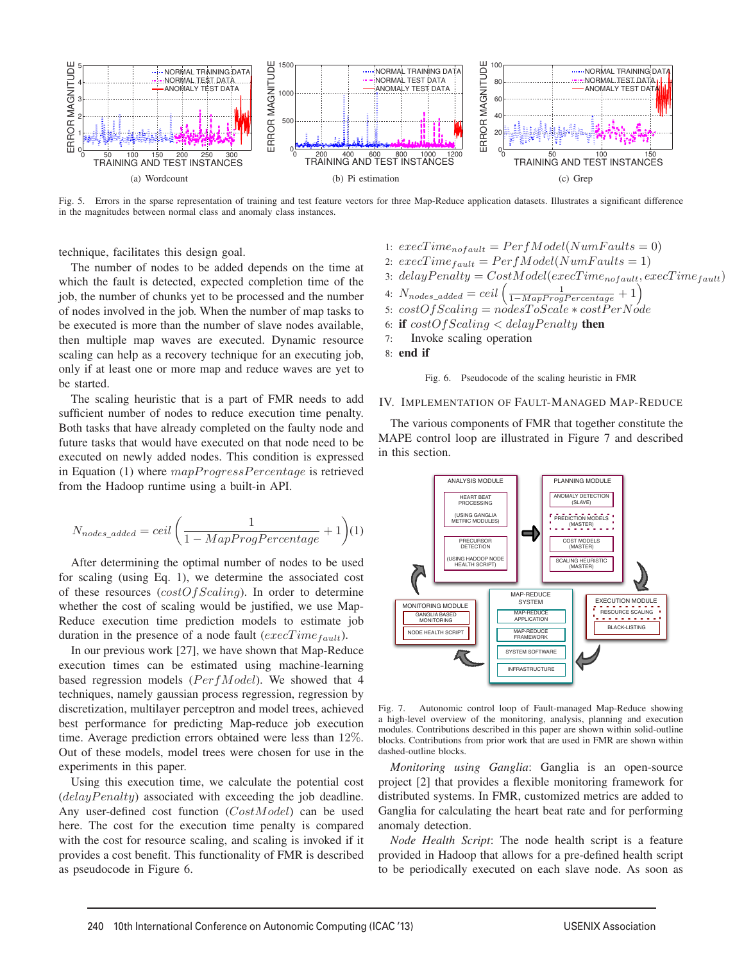

Fig. 5. Errors in the sparse representation of training and test feature vectors for three Map-Reduce application datasets. Illustrates a significant difference in the magnitudes between normal class and anomaly class instances.

technique, facilitates this design goal.

The number of nodes to be added depends on the time at which the fault is detected, expected completion time of the job, the number of chunks yet to be processed and the number of nodes involved in the job. When the number of map tasks to be executed is more than the number of slave nodes available, then multiple map waves are executed. Dynamic resource scaling can help as a recovery technique for an executing job, only if at least one or more map and reduce waves are yet to be started.

The scaling heuristic that is a part of FMR needs to add sufficient number of nodes to reduce execution time penalty. Both tasks that have already completed on the faulty node and future tasks that would have executed on that node need to be executed on newly added nodes. This condition is expressed in Equation (1) where  $mapProgressPercentage$  is retrieved from the Hadoop runtime using a built-in API.

$$
N_{nodes\_added} = ceil \left( \frac{1}{1 - MapProgPercentage} + 1 \right) (1)
$$

After determining the optimal number of nodes to be used for scaling (using Eq. 1), we determine the associated cost of these resources (*costOfScaling*). In order to determine whether the cost of scaling would be justified, we use Map-Reduce execution time prediction models to estimate job duration in the presence of a node fault (*execT imefault*).

In our previous work [27], we have shown that Map-Reduce execution times can be estimated using machine-learning based regression models ( $PerfModel$ ). We showed that 4 techniques, namely gaussian process regression, regression by discretization, multilayer perceptron and model trees, achieved best performance for predicting Map-reduce job execution time. Average prediction errors obtained were less than 12%. Out of these models, model trees were chosen for use in the experiments in this paper.

Using this execution time, we calculate the potential cost (*delayPenalty*) associated with exceeding the job deadline. Any user-defined cost function (*CostModel*) can be used here. The cost for the execution time penalty is compared with the cost for resource scaling, and scaling is invoked if it provides a cost benefit. This functionality of FMR is described as pseudocode in Figure 6.

\n- 1: 
$$
execTime_{nofault} = PerfModel(NumFaults = 0)
$$
\n- 2:  $execTime_{fault} = PerfModel(NumFaults = 1)$
\n- 3:  $delayPenalty = CostModel(exeTime_{nofault}, execTime_{fault})$
\n- 4:  $N_{nodes\_added} = ceil\left(\frac{1 - MapProgPercentage}{1 - MapProgPercentage} + 1\right)$
\n- 5:  $costOfScaling = nodesToScale * costPerNode$
\n- 6: **if**  $costOfScaling < delayPenalty$  **then**
\n- 7:  **Invoke scaling operation**
\n- 8: **end if**
\n



## IV. IMPLEMENTATION OF FAULT-MANAGED MAP-REDUCE

The various components of FMR that together constitute the MAPE control loop are illustrated in Figure 7 and described in this section.



Fig. 7. Autonomic control loop of Fault-managed Map-Reduce showing a high-level overview of the monitoring, analysis, planning and execution modules. Contributions described in this paper are shown within solid-outline blocks. Contributions from prior work that are used in FMR are shown within dashed-outline blocks.

*Monitoring using Ganglia*: Ganglia is an open-source project [2] that provides a flexible monitoring framework for distributed systems. In FMR, customized metrics are added to Ganglia for calculating the heart beat rate and for performing anomaly detection.

*Node Health Script*: The node health script is a feature provided in Hadoop that allows for a pre-defined health script to be periodically executed on each slave node. As soon as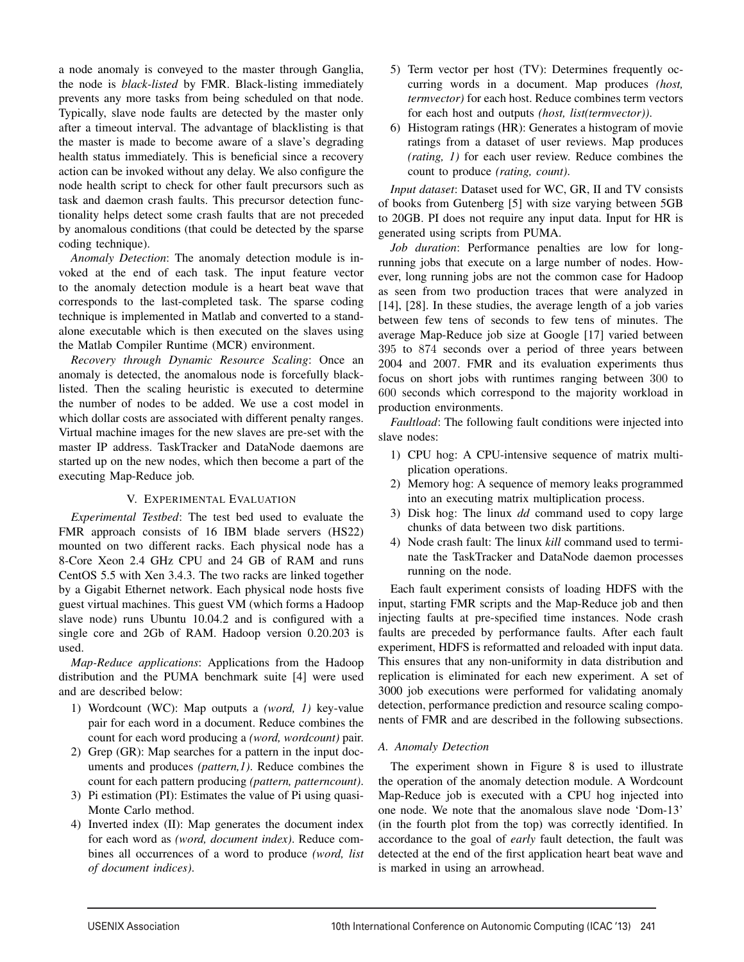a node anomaly is conveyed to the master through Ganglia, the node is *black-listed* by FMR. Black-listing immediately prevents any more tasks from being scheduled on that node. Typically, slave node faults are detected by the master only after a timeout interval. The advantage of blacklisting is that the master is made to become aware of a slave's degrading health status immediately. This is beneficial since a recovery action can be invoked without any delay. We also configure the node health script to check for other fault precursors such as task and daemon crash faults. This precursor detection functionality helps detect some crash faults that are not preceded by anomalous conditions (that could be detected by the sparse coding technique).

*Anomaly Detection*: The anomaly detection module is invoked at the end of each task. The input feature vector to the anomaly detection module is a heart beat wave that corresponds to the last-completed task. The sparse coding technique is implemented in Matlab and converted to a standalone executable which is then executed on the slaves using the Matlab Compiler Runtime (MCR) environment.

*Recovery through Dynamic Resource Scaling*: Once an anomaly is detected, the anomalous node is forcefully blacklisted. Then the scaling heuristic is executed to determine the number of nodes to be added. We use a cost model in which dollar costs are associated with different penalty ranges. Virtual machine images for the new slaves are pre-set with the master IP address. TaskTracker and DataNode daemons are started up on the new nodes, which then become a part of the executing Map-Reduce job.

# V. EXPERIMENTAL EVALUATION

*Experimental Testbed*: The test bed used to evaluate the FMR approach consists of 16 IBM blade servers (HS22) mounted on two different racks. Each physical node has a 8-Core Xeon 2.4 GHz CPU and 24 GB of RAM and runs CentOS 5.5 with Xen 3.4.3. The two racks are linked together by a Gigabit Ethernet network. Each physical node hosts five guest virtual machines. This guest VM (which forms a Hadoop slave node) runs Ubuntu 10.04.2 and is configured with a single core and 2Gb of RAM. Hadoop version 0.20.203 is used.

*Map-Reduce applications*: Applications from the Hadoop distribution and the PUMA benchmark suite [4] were used and are described below:

- 1) Wordcount (WC): Map outputs a *(word, 1)* key-value pair for each word in a document. Reduce combines the count for each word producing a *(word, wordcount)* pair.
- 2) Grep (GR): Map searches for a pattern in the input documents and produces *(pattern,1)*. Reduce combines the count for each pattern producing *(pattern, patterncount)*.
- 3) Pi estimation (PI): Estimates the value of Pi using quasi-Monte Carlo method.
- 4) Inverted index (II): Map generates the document index for each word as *(word, document index)*. Reduce combines all occurrences of a word to produce *(word, list of document indices)*.
- 5) Term vector per host (TV): Determines frequently occurring words in a document. Map produces *(host, termvector)* for each host. Reduce combines term vectors for each host and outputs *(host, list(termvector))*.
- 6) Histogram ratings (HR): Generates a histogram of movie ratings from a dataset of user reviews. Map produces *(rating, 1)* for each user review. Reduce combines the count to produce *(rating, count)*.

*Input dataset*: Dataset used for WC, GR, II and TV consists of books from Gutenberg [5] with size varying between 5GB to 20GB. PI does not require any input data. Input for HR is generated using scripts from PUMA.

*Job duration*: Performance penalties are low for longrunning jobs that execute on a large number of nodes. However, long running jobs are not the common case for Hadoop as seen from two production traces that were analyzed in [14], [28]. In these studies, the average length of a job varies between few tens of seconds to few tens of minutes. The average Map-Reduce job size at Google [17] varied between 395 to 874 seconds over a period of three years between 2004 and 2007. FMR and its evaluation experiments thus focus on short jobs with runtimes ranging between 300 to 600 seconds which correspond to the majority workload in production environments.

*Faultload*: The following fault conditions were injected into slave nodes:

- 1) CPU hog: A CPU-intensive sequence of matrix multiplication operations.
- 2) Memory hog: A sequence of memory leaks programmed into an executing matrix multiplication process.
- 3) Disk hog: The linux *dd* command used to copy large chunks of data between two disk partitions.
- 4) Node crash fault: The linux *kill* command used to terminate the TaskTracker and DataNode daemon processes running on the node.

Each fault experiment consists of loading HDFS with the input, starting FMR scripts and the Map-Reduce job and then injecting faults at pre-specified time instances. Node crash faults are preceded by performance faults. After each fault experiment, HDFS is reformatted and reloaded with input data. This ensures that any non-uniformity in data distribution and replication is eliminated for each new experiment. A set of 3000 job executions were performed for validating anomaly detection, performance prediction and resource scaling components of FMR and are described in the following subsections.

# *A. Anomaly Detection*

The experiment shown in Figure 8 is used to illustrate the operation of the anomaly detection module. A Wordcount Map-Reduce job is executed with a CPU hog injected into one node. We note that the anomalous slave node 'Dom-13' (in the fourth plot from the top) was correctly identified. In accordance to the goal of *early* fault detection, the fault was detected at the end of the first application heart beat wave and is marked in using an arrowhead.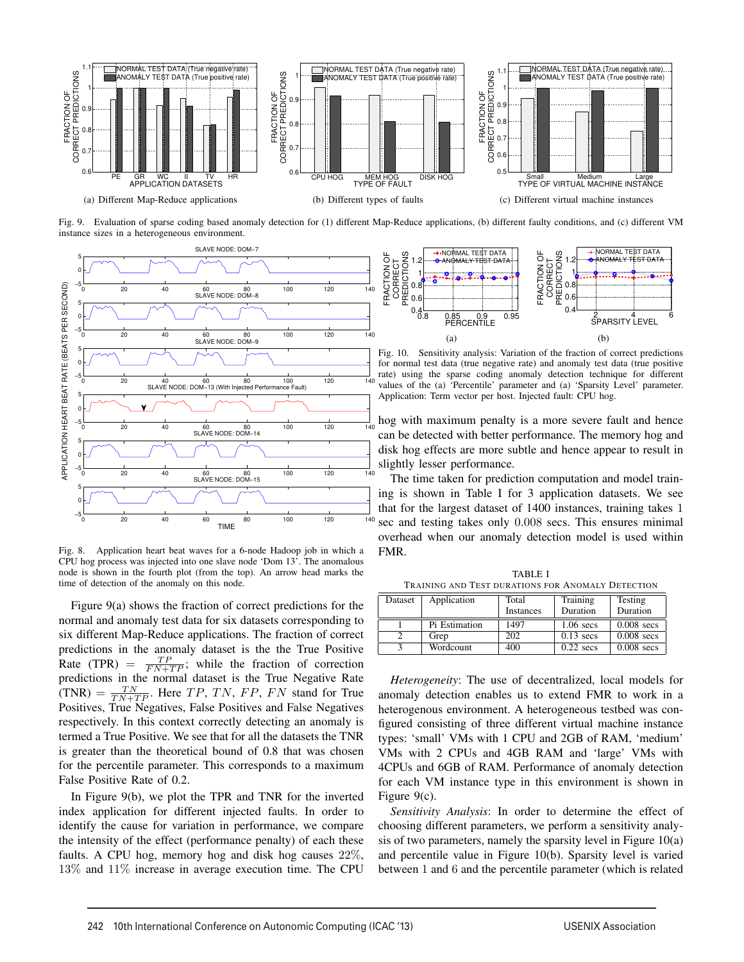

Fig. 9. Evaluation of sparse coding based anomaly detection for (1) different Map-Reduce applications, (b) different faulty conditions, and (c) different VM instance sizes in a heterogeneous environment.



Fig. 8. Application heart beat waves for a 6-node Hadoop job in which a CPU hog process was injected into one slave node 'Dom 13'. The anomalous node is shown in the fourth plot (from the top). An arrow head marks the time of detection of the anomaly on this node.

Figure 9(a) shows the fraction of correct predictions for the normal and anomaly test data for six datasets corresponding to six different Map-Reduce applications. The fraction of correct predictions in the anomaly dataset is the the True Positive Rate (TPR) =  $\frac{TP}{FN+TP}$ ; while the fraction of correction predictions in the normal dataset is the True Negative Rate  $(TNR) = \frac{TN}{TN + TP}$ . Here *TP*, *TN*, *FP*, *FN* stand for True Positives, True Negatives, False Positives and False Negatives respectively. In this context correctly detecting an anomaly is termed a True Positive. We see that for all the datasets the TNR is greater than the theoretical bound of 0.8 that was chosen for the percentile parameter. This corresponds to a maximum False Positive Rate of 0.2.

In Figure 9(b), we plot the TPR and TNR for the inverted index application for different injected faults. In order to identify the cause for variation in performance, we compare the intensity of the effect (performance penalty) of each these faults. A CPU hog, memory hog and disk hog causes 22%, 13% and 11% increase in average execution time. The CPU



Fig. 10. Sensitivity analysis: Variation of the fraction of correct predictions for normal test data (true negative rate) and anomaly test data (true positive rate) using the sparse coding anomaly detection technique for different values of the (a) 'Percentile' parameter and (a) 'Sparsity Level' parameter. Application: Term vector per host. Injected fault: CPU hog.

hog with maximum penalty is a more severe fault and hence can be detected with better performance. The memory hog and disk hog effects are more subtle and hence appear to result in slightly lesser performance.

The time taken for prediction computation and model training is shown in Table I for 3 application datasets. We see that for the largest dataset of 1400 instances, training takes 1 sec and testing takes only 0*.*008 secs. This ensures minimal overhead when our anomaly detection model is used within FMR.

TABLE I TRAINING AND TEST DURATIONS FOR ANOMALY DETECTION

| Dataset | Application   | Total     | Training    | Testing      |
|---------|---------------|-----------|-------------|--------------|
|         |               | Instances | Duration    | Duration     |
|         | Pi Estimation | 1497      | $1.06$ secs | $0.008$ secs |
|         | Grep          | 202       | $0.13$ secs | $0.008$ secs |
|         | Wordcount     | 400       | $0.22$ secs | $0.008$ secs |

*Heterogeneity*: The use of decentralized, local models for anomaly detection enables us to extend FMR to work in a heterogenous environment. A heterogeneous testbed was configured consisting of three different virtual machine instance types: 'small' VMs with 1 CPU and 2GB of RAM, 'medium' VMs with 2 CPUs and 4GB RAM and 'large' VMs with 4CPUs and 6GB of RAM. Performance of anomaly detection for each VM instance type in this environment is shown in Figure 9(c).

*Sensitivity Analysis*: In order to determine the effect of choosing different parameters, we perform a sensitivity analysis of two parameters, namely the sparsity level in Figure 10(a) and percentile value in Figure 10(b). Sparsity level is varied between 1 and 6 and the percentile parameter (which is related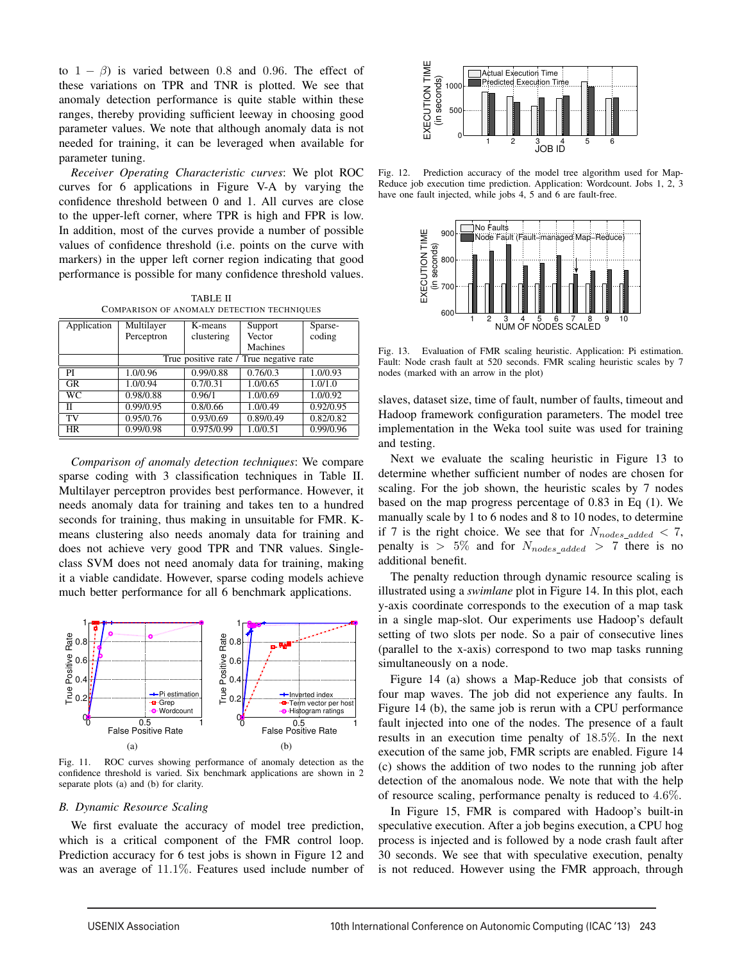to  $1 - \beta$ ) is varied between 0.8 and 0.96. The effect of these variations on TPR and TNR is plotted. We see that anomaly detection performance is quite stable within these ranges, thereby providing sufficient leeway in choosing good parameter values. We note that although anomaly data is not needed for training, it can be leveraged when available for parameter tuning.

*Receiver Operating Characteristic curves*: We plot ROC curves for 6 applications in Figure V-A by varying the confidence threshold between 0 and 1. All curves are close to the upper-left corner, where TPR is high and FPR is low. In addition, most of the curves provide a number of possible values of confidence threshold (i.e. points on the curve with markers) in the upper left corner region indicating that good performance is possible for many confidence threshold values.

TABLE II COMPARISON OF ANOMALY DETECTION TECHNIQUES

| Application | Multilayer                              | $\overline{K}$ -means | Support   | Sparse-   |  |
|-------------|-----------------------------------------|-----------------------|-----------|-----------|--|
|             | Perceptron                              | clustering            | Vector    | coding    |  |
|             |                                         |                       | Machines  |           |  |
|             | True positive rate / True negative rate |                       |           |           |  |
| PI          | 1.0/0.96                                | 0.99/0.88             | 0.76/0.3  | 1.0/0.93  |  |
| <b>GR</b>   | 1.0/0.94                                | 0.7/0.31              | 1.0/0.65  | 1.0/1.0   |  |
| WС          | 0.98/0.88                               | 0.96/1                | 1.0/0.69  | 1.0/0.92  |  |
| П           | 0.99/0.95                               | 0.8/0.66              | 1.0/0.49  | 0.92/0.95 |  |
| TV          | 0.95/0.76                               | 0.93/0.69             | 0.89/0.49 | 0.82/0.82 |  |
| <b>HR</b>   | 0.99/0.98                               | 0.975/0.99            | 1.0/0.51  | 0.99/0.96 |  |

*Comparison of anomaly detection techniques*: We compare sparse coding with 3 classification techniques in Table II. Multilayer perceptron provides best performance. However, it needs anomaly data for training and takes ten to a hundred seconds for training, thus making in unsuitable for FMR. Kmeans clustering also needs anomaly data for training and does not achieve very good TPR and TNR values. Singleclass SVM does not need anomaly data for training, making it a viable candidate. However, sparse coding models achieve much better performance for all 6 benchmark applications.



Fig. 11. ROC curves showing performance of anomaly detection as the confidence threshold is varied. Six benchmark applications are shown in 2 separate plots (a) and (b) for clarity.

## *B. Dynamic Resource Scaling*

We first evaluate the accuracy of model tree prediction, which is a critical component of the FMR control loop. Prediction accuracy for 6 test jobs is shown in Figure 12 and was an average of 11*.*1%. Features used include number of



Fig. 12. Prediction accuracy of the model tree algorithm used for Map-Reduce job execution time prediction. Application: Wordcount. Jobs 1, 2, 3 have one fault injected, while jobs 4, 5 and 6 are fault-free.



Fig. 13. Evaluation of FMR scaling heuristic. Application: Pi estimation. Fault: Node crash fault at 520 seconds. FMR scaling heuristic scales by 7 nodes (marked with an arrow in the plot)

slaves, dataset size, time of fault, number of faults, timeout and Hadoop framework configuration parameters. The model tree implementation in the Weka tool suite was used for training and testing.

Next we evaluate the scaling heuristic in Figure 13 to determine whether sufficient number of nodes are chosen for scaling. For the job shown, the heuristic scales by 7 nodes based on the map progress percentage of 0.83 in Eq (1). We manually scale by 1 to 6 nodes and 8 to 10 nodes, to determine if 7 is the right choice. We see that for  $N_{nodes\_added} < 7$ , penalty is  $> 5\%$  and for  $N_{nodes\_added} > 7$  there is no additional benefit.

The penalty reduction through dynamic resource scaling is illustrated using a *swimlane* plot in Figure 14. In this plot, each y-axis coordinate corresponds to the execution of a map task in a single map-slot. Our experiments use Hadoop's default setting of two slots per node. So a pair of consecutive lines (parallel to the x-axis) correspond to two map tasks running simultaneously on a node.

Figure 14 (a) shows a Map-Reduce job that consists of four map waves. The job did not experience any faults. In Figure 14 (b), the same job is rerun with a CPU performance fault injected into one of the nodes. The presence of a fault results in an execution time penalty of 18*.*5%. In the next execution of the same job, FMR scripts are enabled. Figure 14 (c) shows the addition of two nodes to the running job after detection of the anomalous node. We note that with the help of resource scaling, performance penalty is reduced to 4*.*6%.

In Figure 15, FMR is compared with Hadoop's built-in speculative execution. After a job begins execution, a CPU hog process is injected and is followed by a node crash fault after 30 seconds. We see that with speculative execution, penalty is not reduced. However using the FMR approach, through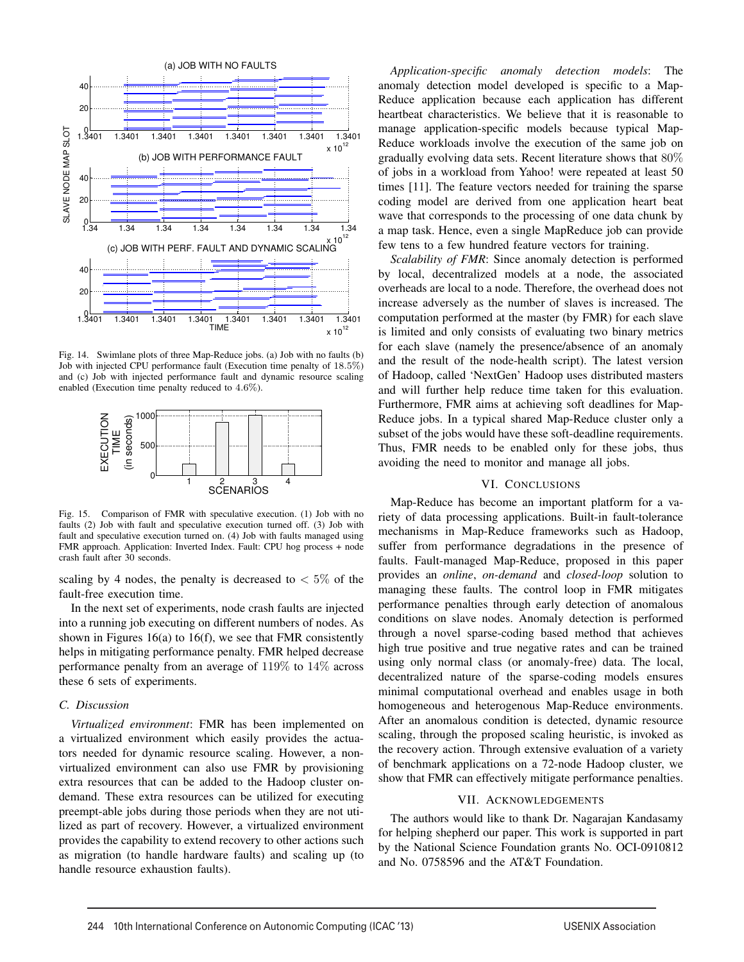

Fig. 14. Swimlane plots of three Map-Reduce jobs. (a) Job with no faults (b) Job with injected CPU performance fault (Execution time penalty of 18*.*5%) and (c) Job with injected performance fault and dynamic resource scaling enabled (Execution time penalty reduced to 4*.*6%).



Fig. 15. Comparison of FMR with speculative execution. (1) Job with no faults (2) Job with fault and speculative execution turned off. (3) Job with fault and speculative execution turned on. (4) Job with faults managed using FMR approach. Application: Inverted Index. Fault: CPU hog process + node crash fault after 30 seconds.

scaling by 4 nodes, the penalty is decreased to  $\lt 5\%$  of the fault-free execution time.

In the next set of experiments, node crash faults are injected into a running job executing on different numbers of nodes. As shown in Figures 16(a) to 16(f), we see that FMR consistently helps in mitigating performance penalty. FMR helped decrease performance penalty from an average of 119% to 14% across these 6 sets of experiments.

#### *C. Discussion*

*Virtualized environment*: FMR has been implemented on a virtualized environment which easily provides the actuators needed for dynamic resource scaling. However, a nonvirtualized environment can also use FMR by provisioning extra resources that can be added to the Hadoop cluster ondemand. These extra resources can be utilized for executing preempt-able jobs during those periods when they are not utilized as part of recovery. However, a virtualized environment provides the capability to extend recovery to other actions such as migration (to handle hardware faults) and scaling up (to handle resource exhaustion faults).

*Application-specific anomaly detection models*: The anomaly detection model developed is specific to a Map-Reduce application because each application has different heartbeat characteristics. We believe that it is reasonable to manage application-specific models because typical Map-Reduce workloads involve the execution of the same job on gradually evolving data sets. Recent literature shows that 80% of jobs in a workload from Yahoo! were repeated at least 50 times [11]. The feature vectors needed for training the sparse coding model are derived from one application heart beat wave that corresponds to the processing of one data chunk by a map task. Hence, even a single MapReduce job can provide few tens to a few hundred feature vectors for training.

*Scalability of FMR*: Since anomaly detection is performed by local, decentralized models at a node, the associated overheads are local to a node. Therefore, the overhead does not increase adversely as the number of slaves is increased. The computation performed at the master (by FMR) for each slave is limited and only consists of evaluating two binary metrics for each slave (namely the presence/absence of an anomaly and the result of the node-health script). The latest version of Hadoop, called 'NextGen' Hadoop uses distributed masters and will further help reduce time taken for this evaluation. Furthermore, FMR aims at achieving soft deadlines for Map-Reduce jobs. In a typical shared Map-Reduce cluster only a subset of the jobs would have these soft-deadline requirements. Thus, FMR needs to be enabled only for these jobs, thus avoiding the need to monitor and manage all jobs.

# VI. CONCLUSIONS

Map-Reduce has become an important platform for a variety of data processing applications. Built-in fault-tolerance mechanisms in Map-Reduce frameworks such as Hadoop, suffer from performance degradations in the presence of faults. Fault-managed Map-Reduce, proposed in this paper provides an *online*, *on-demand* and *closed-loop* solution to managing these faults. The control loop in FMR mitigates performance penalties through early detection of anomalous conditions on slave nodes. Anomaly detection is performed through a novel sparse-coding based method that achieves high true positive and true negative rates and can be trained using only normal class (or anomaly-free) data. The local, decentralized nature of the sparse-coding models ensures minimal computational overhead and enables usage in both homogeneous and heterogenous Map-Reduce environments. After an anomalous condition is detected, dynamic resource scaling, through the proposed scaling heuristic, is invoked as the recovery action. Through extensive evaluation of a variety of benchmark applications on a 72-node Hadoop cluster, we show that FMR can effectively mitigate performance penalties.

#### VII. ACKNOWLEDGEMENTS

The authors would like to thank Dr. Nagarajan Kandasamy for helping shepherd our paper. This work is supported in part by the National Science Foundation grants No. OCI-0910812 and No. 0758596 and the AT&T Foundation.